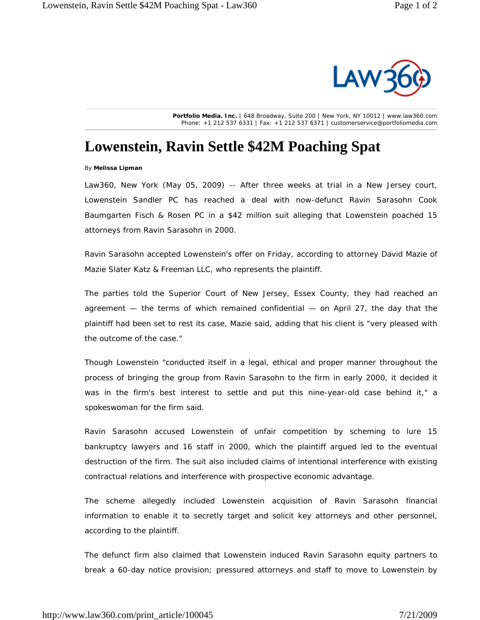

**Portfolio Media. Inc.** | 648 Broadway, Suite 200 | New York, NY 10012 | www.law360.com Phone: +1 212 537 6331 | Fax: +1 212 537 6371 | customerservice@portfoliomedia.com

## **Lowenstein, Ravin Settle \$42M Poaching Spat**

By **Melissa Lipman**

Law360, New York (May 05, 2009) -- After three weeks at trial in a New Jersey court, Lowenstein Sandler PC has reached a deal with now-defunct Ravin Sarasohn Cook Baumgarten Fisch & Rosen PC in a \$42 million suit alleging that Lowenstein poached 15 attorneys from Ravin Sarasohn in 2000.

Ravin Sarasohn accepted Lowenstein's offer on Friday, according to attorney David Mazie of Mazie Slater Katz & Freeman LLC, who represents the plaintiff.

The parties told the Superior Court of New Jersey, Essex County, they had reached an agreement — the terms of which remained confidential — on April 27, the day that the plaintiff had been set to rest its case, Mazie said, adding that his client is "very pleased with the outcome of the case."

Though Lowenstein "conducted itself in a legal, ethical and proper manner throughout the process of bringing the group from Ravin Sarasohn to the firm in early 2000, it decided it was in the firm's best interest to settle and put this nine-year-old case behind it," a spokeswoman for the firm said.

Ravin Sarasohn accused Lowenstein of unfair competition by scheming to lure 15 bankruptcy lawyers and 16 staff in 2000, which the plaintiff argued led to the eventual destruction of the firm. The suit also included claims of intentional interference with existing contractual relations and interference with prospective economic advantage.

The scheme allegedly included Lowenstein acquisition of Ravin Sarasohn financial information to enable it to secretly target and solicit key attorneys and other personnel, according to the plaintiff.

The defunct firm also claimed that Lowenstein induced Ravin Sarasohn equity partners to break a 60-day notice provision; pressured attorneys and staff to move to Lowenstein by